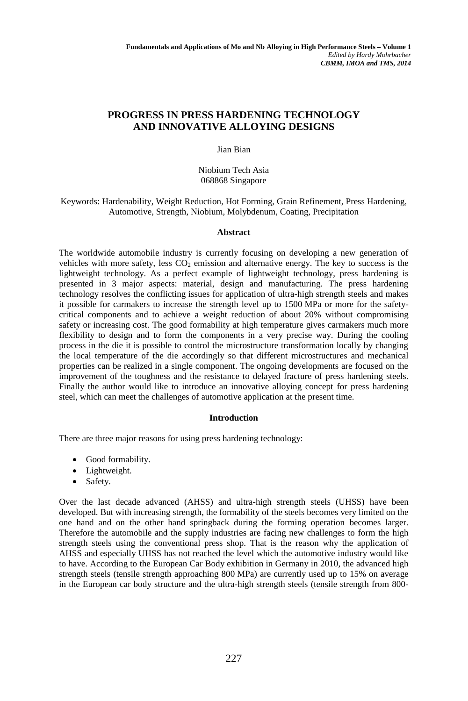# **PROGRESS IN PRESS HARDENING TECHNOLOGY AND INNOVATIVE ALLOYING DESIGNS**

Jian Bian

Niobium Tech Asia 068868 Singapore

Keywords: Hardenability, Weight Reduction, Hot Forming, Grain Refinement, Press Hardening, Automotive, Strength, Niobium, Molybdenum, Coating, Precipitation

## **Abstract**

The worldwide automobile industry is currently focusing on developing a new generation of vehicles with more safety, less  $CO<sub>2</sub>$  emission and alternative energy. The key to success is the lightweight technology. As a perfect example of lightweight technology, press hardening is presented in 3 major aspects: material, design and manufacturing. The press hardening technology resolves the conflicting issues for application of ultra-high strength steels and makes it possible for carmakers to increase the strength level up to 1500 MPa or more for the safetycritical components and to achieve a weight reduction of about 20% without compromising safety or increasing cost. The good formability at high temperature gives carmakers much more flexibility to design and to form the components in a very precise way. During the cooling process in the die it is possible to control the microstructure transformation locally by changing the local temperature of the die accordingly so that different microstructures and mechanical properties can be realized in a single component. The ongoing developments are focused on the improvement of the toughness and the resistance to delayed fracture of press hardening steels. Finally the author would like to introduce an innovative alloying concept for press hardening steel, which can meet the challenges of automotive application at the present time.

## **Introduction**

There are three major reasons for using press hardening technology:

- Good formability.
- Lightweight.
- Safety.

Over the last decade advanced (AHSS) and ultra-high strength steels (UHSS) have been developed. But with increasing strength, the formability of the steels becomes very limited on the one hand and on the other hand springback during the forming operation becomes larger. Therefore the automobile and the supply industries are facing new challenges to form the high strength steels using the conventional press shop. That is the reason why the application of AHSS and especially UHSS has not reached the level which the automotive industry would like to have. According to the European Car Body exhibition in Germany in 2010, the advanced high strength steels (tensile strength approaching 800 MPa) are currently used up to 15% on average in the European car body structure and the ultra-high strength steels (tensile strength from 800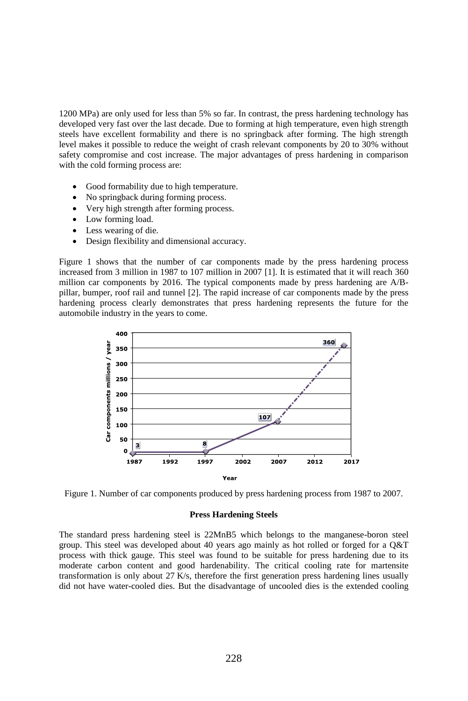1200 MPa) are only used for less than 5% so far. In contrast, the press hardening technology has developed very fast over the last decade. Due to forming at high temperature, even high strength steels have excellent formability and there is no springback after forming. The high strength level makes it possible to reduce the weight of crash relevant components by 20 to 30% without safety compromise and cost increase. The major advantages of press hardening in comparison with the cold forming process are:

- Good formability due to high temperature.
- No springback during forming process.
- Very high strength after forming process.
- Low forming load.
- Less wearing of die.
- Design flexibility and dimensional accuracy.

Figure 1 shows that the number of car components made by the press hardening process increased from 3 million in 1987 to 107 million in 2007 [1]. It is estimated that it will reach 360 million car components by 2016. The typical components made by press hardening are A/Bpillar, bumper, roof rail and tunnel [2]. The rapid increase of car components made by the press hardening process clearly demonstrates that press hardening represents the future for the automobile industry in the years to come.



Figure 1. Number of car components produced by press hardening process from 1987 to 2007.

#### **Press Hardening Steels**

The standard press hardening steel is 22MnB5 which belongs to the manganese-boron steel group. This steel was developed about 40 years ago mainly as hot rolled or forged for a Q&T process with thick gauge. This steel was found to be suitable for press hardening due to its moderate carbon content and good hardenability. The critical cooling rate for martensite transformation is only about 27 K/s, therefore the first generation press hardening lines usually did not have water-cooled dies. But the disadvantage of uncooled dies is the extended cooling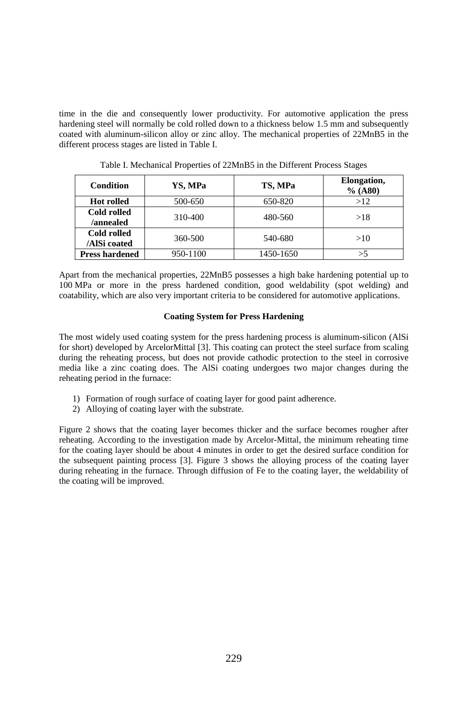time in the die and consequently lower productivity. For automotive application the press hardening steel will normally be cold rolled down to a thickness below 1.5 mm and subsequently coated with aluminum-silicon alloy or zinc alloy. The mechanical properties of 22MnB5 in the different process stages are listed in Table I.

| <b>Condition</b>            | YS, MPa  | TS, MPa   | Elongation,<br>% (A80) |
|-----------------------------|----------|-----------|------------------------|
| <b>Hot rolled</b>           | 500-650  | 650-820   | >12                    |
| Cold rolled<br>/annealed    | 310-400  | 480-560   | >18                    |
| Cold rolled<br>/AlSi coated | 360-500  | 540-680   | >10                    |
| <b>Press hardened</b>       | 950-1100 | 1450-1650 |                        |

Table I. Mechanical Properties of 22MnB5 in the Different Process Stages

Apart from the mechanical properties, 22MnB5 possesses a high bake hardening potential up to 100 MPa or more in the press hardened condition, good weldability (spot welding) and coatability, which are also very important criteria to be considered for automotive applications.

## **Coating System for Press Hardening**

The most widely used coating system for the press hardening process is aluminum-silicon (AlSi for short) developed by ArcelorMittal [3]. This coating can protect the steel surface from scaling during the reheating process, but does not provide cathodic protection to the steel in corrosive media like a zinc coating does. The AlSi coating undergoes two major changes during the reheating period in the furnace:

- 1) Formation of rough surface of coating layer for good paint adherence.
- 2) Alloying of coating layer with the substrate.

Figure 2 shows that the coating layer becomes thicker and the surface becomes rougher after reheating. According to the investigation made by Arcelor-Mittal, the minimum reheating time for the coating layer should be about 4 minutes in order to get the desired surface condition for the subsequent painting process [3]. Figure 3 shows the alloying process of the coating layer during reheating in the furnace. Through diffusion of Fe to the coating layer, the weldability of the coating will be improved.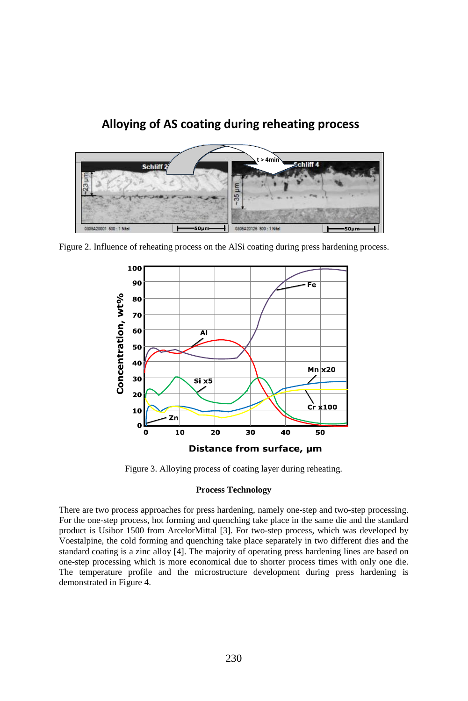

Figure 2. Influence of reheating process on the AlSi coating during press hardening process.



Figure 3. Alloying process of coating layer during reheating.

## **Process Technology**

There are two process approaches for press hardening, namely one-step and two-step processing. For the one-step process, hot forming and quenching take place in the same die and the standard product is Usibor 1500 from ArcelorMittal [3]. For two-step process, which was developed by Voestalpine, the cold forming and quenching take place separately in two different dies and the standard coating is a zinc alloy [4]. The majority of operating press hardening lines are based on one-step processing which is more economical due to shorter process times with only one die. The temperature profile and the microstructure development during press hardening is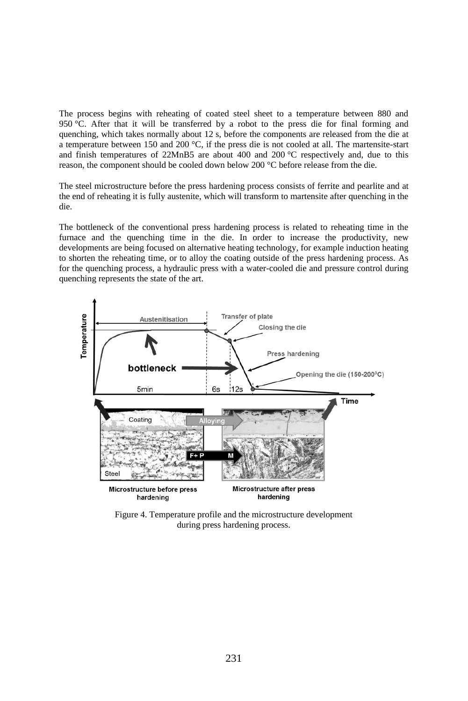The process begins with reheating of coated steel sheet to a temperature between 880 and 950 °C. After that it will be transferred by a robot to the press die for final forming and quenching, which takes normally about 12 s, before the components are released from the die at a temperature between 150 and 200 °C, if the press die is not cooled at all. The martensite-start and finish temperatures of  $22MnB5$  are about 400 and  $200 °C$  respectively and, due to this reason, the component should be cooled down below 200 °C before release from the die.

The steel microstructure before the press hardening process consists of ferrite and pearlite and at the end of reheating it is fully austenite, which will transform to martensite after quenching in the die.

The bottleneck of the conventional press hardening process is related to reheating time in the furnace and the quenching time in the die. In order to increase the productivity, new developments are being focused on alternative heating technology, for example induction heating to shorten the reheating time, or to alloy the coating outside of the press hardening process. As for the quenching process, a hydraulic press with a water-cooled die and pressure control during quenching represents the state of the art.



Figure 4. Temperature profile and the microstructure development during press hardening process.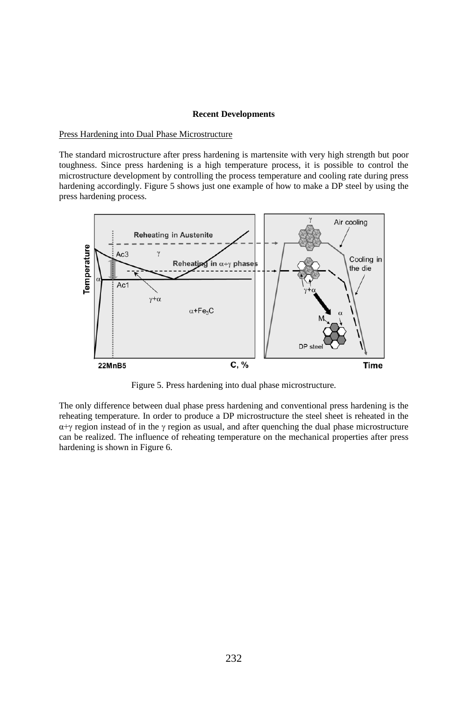### **Recent Developments**

Press Hardening into Dual Phase Microstructure

The standard microstructure after press hardening is martensite with very high strength but poor toughness. Since press hardening is a high temperature process, it is possible to control the microstructure development by controlling the process temperature and cooling rate during press hardening accordingly. Figure 5 shows just one example of how to make a DP steel by using the press hardening process.



Figure 5. Press hardening into dual phase microstructure.

The only difference between dual phase press hardening and conventional press hardening is the reheating temperature. In order to produce a DP microstructure the steel sheet is reheated in the  $\alpha + \gamma$  region instead of in the  $\gamma$  region as usual, and after quenching the dual phase microstructure can be realized. The influence of reheating temperature on the mechanical properties after press hardening is shown in Figure 6.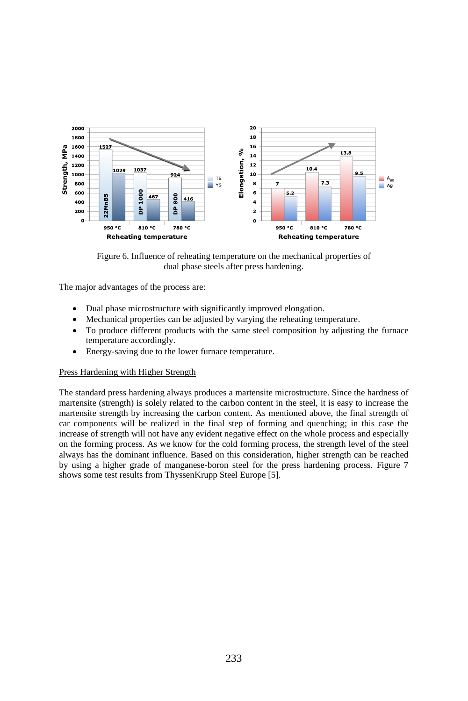

Figure 6. Influence of reheating temperature on the mechanical properties of dual phase steels after press hardening.

The major advantages of the process are:

- Dual phase microstructure with significantly improved elongation.
- Mechanical properties can be adjusted by varying the reheating temperature.
- To produce different products with the same steel composition by adjusting the furnace temperature accordingly.
- Energy-saving due to the lower furnace temperature.

## Press Hardening with Higher Strength

The standard press hardening always produces a martensite microstructure. Since the hardness of martensite (strength) is solely related to the carbon content in the steel, it is easy to increase the martensite strength by increasing the carbon content. As mentioned above, the final strength of car components will be realized in the final step of forming and quenching; in this case the increase of strength will not have any evident negative effect on the whole process and especially on the forming process. As we know for the cold forming process, the strength level of the steel always has the dominant influence. Based on this consideration, higher strength can be reached by using a higher grade of manganese-boron steel for the press hardening process. Figure 7 shows some test results from ThyssenKrupp Steel Europe [5].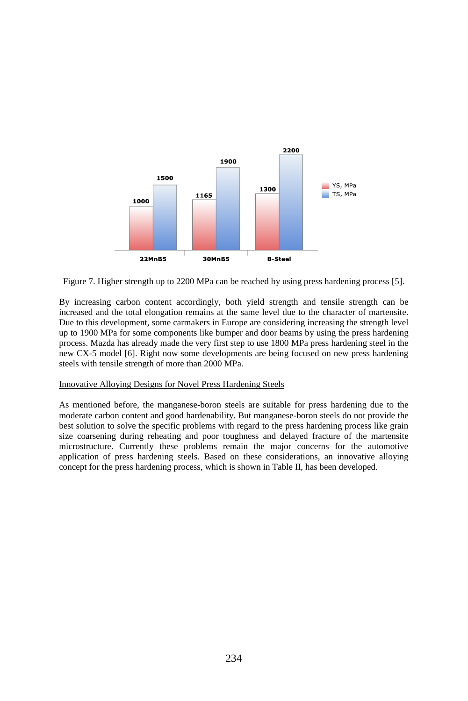

Figure 7. Higher strength up to 2200 MPa can be reached by using press hardening process [5].

By increasing carbon content accordingly, both yield strength and tensile strength can be increased and the total elongation remains at the same level due to the character of martensite. Due to this development, some carmakers in Europe are considering increasing the strength level up to 1900 MPa for some components like bumper and door beams by using the press hardening process. Mazda has already made the very first step to use 1800 MPa press hardening steel in the new CX-5 model [6]. Right now some developments are being focused on new press hardening steels with tensile strength of more than 2000 MPa.

## Innovative Alloying Designs for Novel Press Hardening Steels

As mentioned before, the manganese-boron steels are suitable for press hardening due to the moderate carbon content and good hardenability. But manganese-boron steels do not provide the best solution to solve the specific problems with regard to the press hardening process like grain size coarsening during reheating and poor toughness and delayed fracture of the martensite microstructure. Currently these problems remain the major concerns for the automotive application of press hardening steels. Based on these considerations, an innovative alloying concept for the press hardening process, which is shown in Table II, has been developed.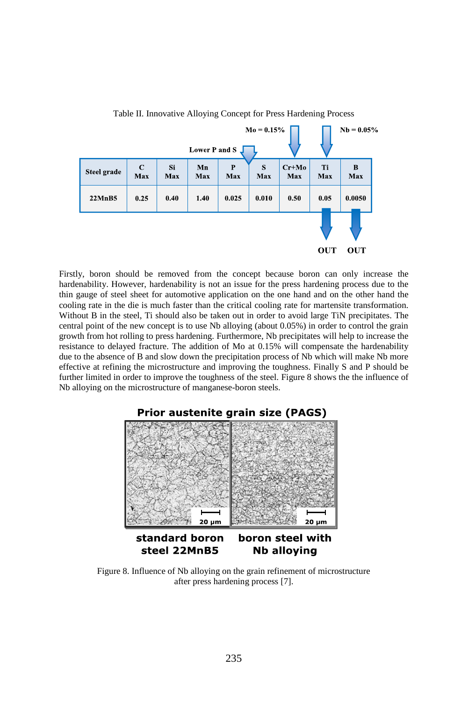

Table II. Innovative Alloying Concept for Press Hardening Process

Firstly, boron should be removed from the concept because boron can only increase the hardenability. However, hardenability is not an issue for the press hardening process due to the thin gauge of steel sheet for automotive application on the one hand and on the other hand the cooling rate in the die is much faster than the critical cooling rate for martensite transformation. Without B in the steel, Ti should also be taken out in order to avoid large TiN precipitates. The central point of the new concept is to use Nb alloying (about 0.05%) in order to control the grain growth from hot rolling to press hardening. Furthermore, Nb precipitates will help to increase the resistance to delayed fracture. The addition of Mo at 0.15% will compensate the hardenability due to the absence of B and slow down the precipitation process of Nb which will make Nb more effective at refining the microstructure and improving the toughness. Finally S and P should be further limited in order to improve the toughness of the steel. Figure 8 shows the the influence of Nb alloying on the microstructure of manganese-boron steels.



Figure 8. Influence of Nb alloying on the grain refinement of microstructure after press hardening process [7].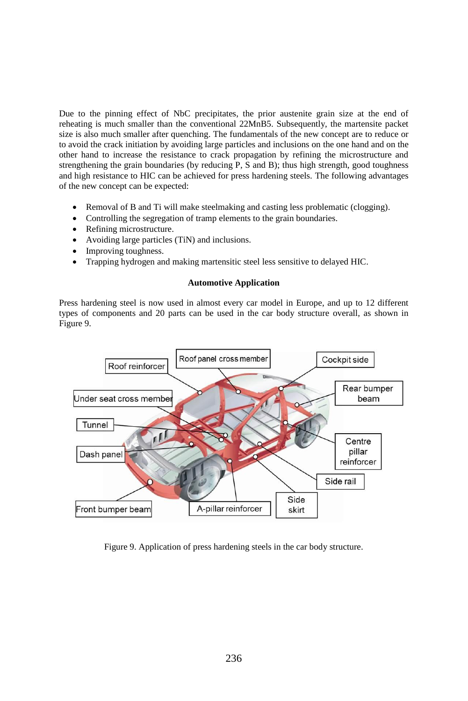Due to the pinning effect of NbC precipitates, the prior austenite grain size at the end of reheating is much smaller than the conventional 22MnB5. Subsequently, the martensite packet size is also much smaller after quenching. The fundamentals of the new concept are to reduce or to avoid the crack initiation by avoiding large particles and inclusions on the one hand and on the other hand to increase the resistance to crack propagation by refining the microstructure and strengthening the grain boundaries (by reducing P, S and B); thus high strength, good toughness and high resistance to HIC can be achieved for press hardening steels. The following advantages of the new concept can be expected:

- Removal of B and Ti will make steelmaking and casting less problematic (clogging).
- Controlling the segregation of tramp elements to the grain boundaries.
- Refining microstructure.
- Avoiding large particles (TiN) and inclusions.
- Improving toughness.
- Trapping hydrogen and making martensitic steel less sensitive to delayed HIC.

## **Automotive Application**

Press hardening steel is now used in almost every car model in Europe, and up to 12 different types of components and 20 parts can be used in the car body structure overall, as shown in Figure 9.



Figure 9. Application of press hardening steels in the car body structure.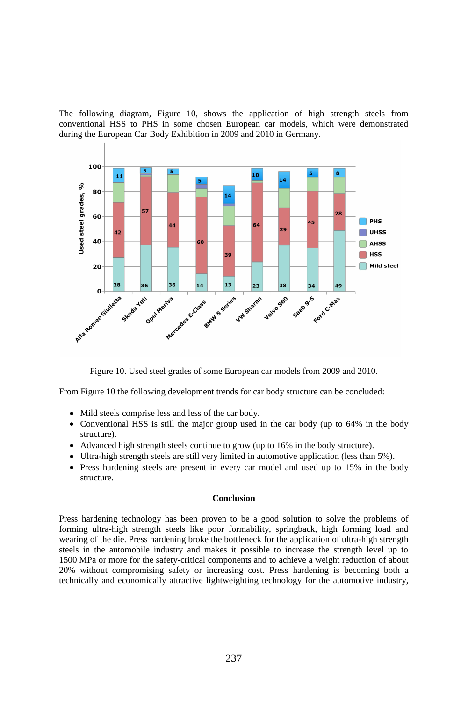The following diagram, Figure 10, shows the application of high strength steels from conventional HSS to PHS in some chosen European car models, which were demonstrated during the European Car Body Exhibition in 2009 and 2010 in Germany.



Figure 10. Used steel grades of some European car models from 2009 and 2010.

From Figure 10 the following development trends for car body structure can be concluded:

- Mild steels comprise less and less of the car body.
- Conventional HSS is still the major group used in the car body (up to 64% in the body structure).
- Advanced high strength steels continue to grow (up to 16% in the body structure).
- Ultra-high strength steels are still very limited in automotive application (less than 5%).
- Press hardening steels are present in every car model and used up to 15% in the body structure.

## **Conclusion**

Press hardening technology has been proven to be a good solution to solve the problems of forming ultra-high strength steels like poor formability, springback, high forming load and wearing of the die. Press hardening broke the bottleneck for the application of ultra-high strength steels in the automobile industry and makes it possible to increase the strength level up to 1500 MPa or more for the safety-critical components and to achieve a weight reduction of about 20% without compromising safety or increasing cost. Press hardening is becoming both a technically and economically attractive lightweighting technology for the automotive industry,